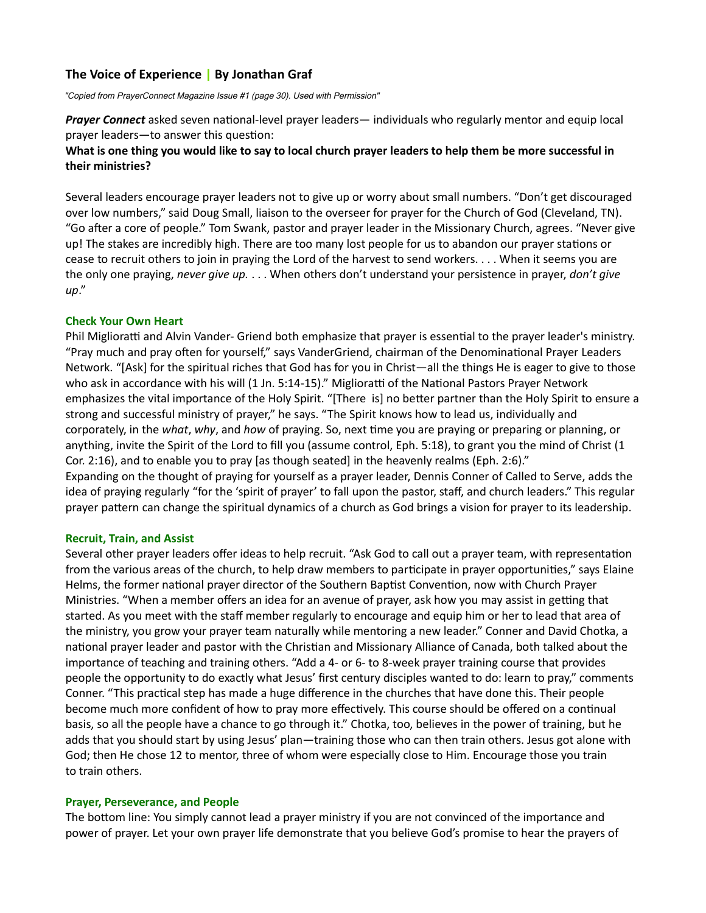# The Voice of Experience | By Jonathan Graf

"Copied from PrayerConnect Magazine Issue #1 (page 30). Used with Permission"

Prayer Connect asked seven national-level prayer leaders— individuals who regularly mentor and equip local prayer leaders—to answer this question:

## What is one thing you would like to say to local church prayer leaders to help them be more successful in their ministries?

Several leaders encourage prayer leaders not to give up or worry about small numbers. "Don't get discouraged over low numbers," said Doug Small, liaison to the overseer for prayer for the Church of God (Cleveland, TN). "Go after a core of people." Tom Swank, pastor and prayer leader in the Missionary Church, agrees. "Never give up! The stakes are incredibly high. There are too many lost people for us to abandon our prayer stations or cease to recruit others to join in praying the Lord of the harvest to send workers. . . . When it seems you are the only one praying, never give up. . . . When others don't understand your persistence in prayer, don't give up."

## Check Your Own Heart

Phil Miglioratti and Alvin Vander- Griend both emphasize that prayer is essential to the prayer leader's ministry. "Pray much and pray often for yourself," says VanderGriend, chairman of the Denominational Prayer Leaders Network. "[Ask] for the spiritual riches that God has for you in Christ—all the things He is eager to give to those who ask in accordance with his will (1 Jn. 5:14-15)." Miglioratti of the National Pastors Prayer Network emphasizes the vital importance of the Holy Spirit. "[There is] no better partner than the Holy Spirit to ensure a strong and successful ministry of prayer," he says. "The Spirit knows how to lead us, individually and corporately, in the what, why, and how of praying. So, next time you are praying or preparing or planning, or anything, invite the Spirit of the Lord to fill you (assume control, Eph. 5:18), to grant you the mind of Christ (1 Cor. 2:16), and to enable you to pray [as though seated] in the heavenly realms (Eph. 2:6)." Expanding on the thought of praying for yourself as a prayer leader, Dennis Conner of Called to Serve, adds the idea of praying regularly "for the 'spirit of prayer' to fall upon the pastor, staff, and church leaders." This regular prayer pattern can change the spiritual dynamics of a church as God brings a vision for prayer to its leadership.

### Recruit, Train, and Assist

Several other prayer leaders offer ideas to help recruit. "Ask God to call out a prayer team, with representation from the various areas of the church, to help draw members to participate in prayer opportunities," says Elaine Helms, the former national prayer director of the Southern Baptist Convention, now with Church Prayer Ministries. "When a member offers an idea for an avenue of prayer, ask how you may assist in getting that started. As you meet with the staff member regularly to encourage and equip him or her to lead that area of the ministry, you grow your prayer team naturally while mentoring a new leader." Conner and David Chotka, a national prayer leader and pastor with the Christian and Missionary Alliance of Canada, both talked about the importance of teaching and training others. "Add a 4- or 6- to 8-week prayer training course that provides people the opportunity to do exactly what Jesus' first century disciples wanted to do: learn to pray," comments Conner. "This practical step has made a huge difference in the churches that have done this. Their people become much more confident of how to pray more effectively. This course should be offered on a continual basis, so all the people have a chance to go through it." Chotka, too, believes in the power of training, but he adds that you should start by using Jesus' plan—training those who can then train others. Jesus got alone with God; then He chose 12 to mentor, three of whom were especially close to Him. Encourage those you train to train others.

### Prayer, Perseverance, and People

The bottom line: You simply cannot lead a prayer ministry if you are not convinced of the importance and power of prayer. Let your own prayer life demonstrate that you believe God's promise to hear the prayers of